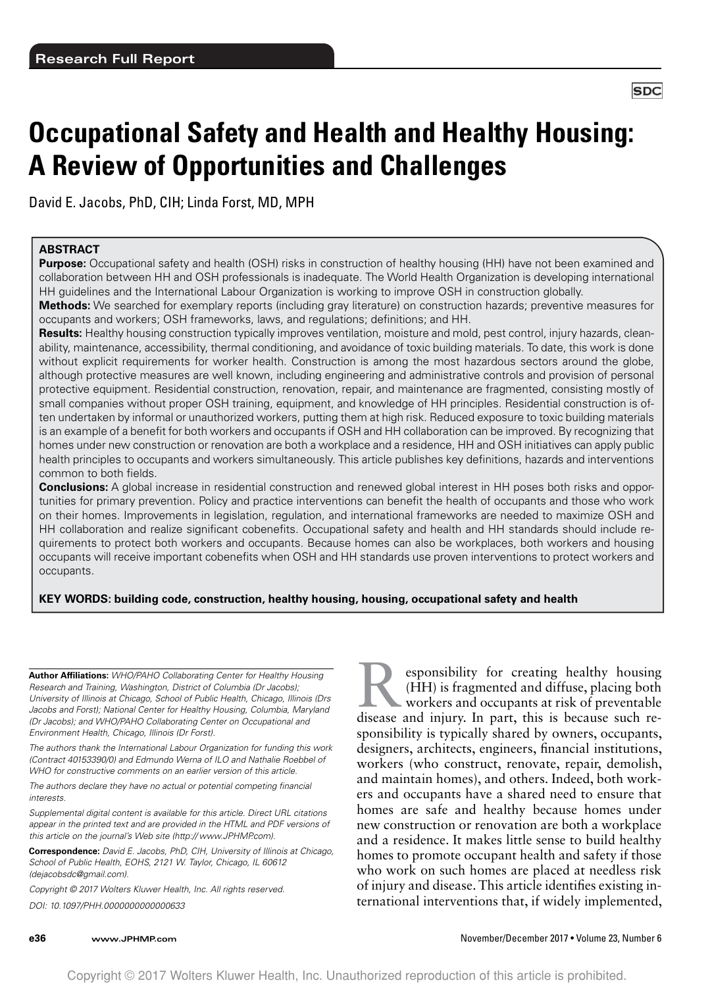

# **Occupational Safety and Health and Healthy Housing: A Review of Opportunities and Challenges**

David E. Jacobs, PhD, CIH; Linda Forst, MD, MPH

#### **ABSTRACT**

**Purpose:** Occupational safety and health (OSH) risks in construction of healthy housing (HH) have not been examined and collaboration between HH and OSH professionals is inadequate. The World Health Organization is developing international HH guidelines and the International Labour Organization is working to improve OSH in construction globally.

**Methods:** We searched for exemplary reports (including gray literature) on construction hazards; preventive measures for occupants and workers; OSH frameworks, laws, and regulations; definitions; and HH.

**Results:** Healthy housing construction typically improves ventilation, moisture and mold, pest control, injury hazards, cleanability, maintenance, accessibility, thermal conditioning, and avoidance of toxic building materials. To date, this work is done without explicit requirements for worker health. Construction is among the most hazardous sectors around the globe, although protective measures are well known, including engineering and administrative controls and provision of personal protective equipment. Residential construction, renovation, repair, and maintenance are fragmented, consisting mostly of small companies without proper OSH training, equipment, and knowledge of HH principles. Residential construction is often undertaken by informal or unauthorized workers, putting them at high risk. Reduced exposure to toxic building materials is an example of a benefit for both workers and occupants if OSH and HH collaboration can be improved. By recognizing that homes under new construction or renovation are both a workplace and a residence, HH and OSH initiatives can apply public health principles to occupants and workers simultaneously. This article publishes key definitions, hazards and interventions common to both fields.

**Conclusions:** A global increase in residential construction and renewed global interest in HH poses both risks and opportunities for primary prevention. Policy and practice interventions can benefit the health of occupants and those who work on their homes. Improvements in legislation, regulation, and international frameworks are needed to maximize OSH and HH collaboration and realize significant cobenefits. Occupational safety and health and HH standards should include requirements to protect both workers and occupants. Because homes can also be workplaces, both workers and housing occupants will receive important cobenefits when OSH and HH standards use proven interventions to protect workers and occupants.

#### **KEY WORDS: building code, construction, healthy housing, housing, occupational safety and health**

**Author Affiliations:** WHO/PAHO Collaborating Center for Healthy Housing Research and Training, Washington, District of Columbia (Dr Jacobs); University of Illinois at Chicago, School of Public Health, Chicago, Illinois (Drs Jacobs and Forst); National Center for Healthy Housing, Columbia, Maryland (Dr Jacobs); and WHO/PAHO Collaborating Center on Occupational and Environment Health, Chicago, Illinois (Dr Forst).

The authors thank the International Labour Organization for funding this work (Contract 40153390/0) and Edmundo Werna of ILO and Nathalie Roebbel of WHO for constructive comments on an earlier version of this article.

The authors declare they have no actual or potential competing financial interests.

Supplemental digital content is available for this article. Direct URL citations appear in the printed text and are provided in the HTML and PDF versions of this article on the journal's Web site [\(http:// www.JPHMP.com\)](http://www.JPHMP.com).

**Correspondence:** David E. Jacobs, PhD, CIH, University of Illinois at Chicago, School of Public Health, EOHS, 2121 W. Taylor, Chicago, IL 60612 [\(dejacobsdc@gmail.com\)](mailto:dejacobsdc@gmail.com).

Copyright © 2017 Wolters Kluwer Health, Inc. All rights reserved.

DOI: 10.1097/PHH.0000000000000633

**Example 18 Separated Schools** (HH) is fragmented and diffuse, placing both workers and occupants at risk of preventable disease and injury. In part, this is because such re-(HH) is fragmented and diffuse, placing both workers and occupants at risk of preventable sponsibility is typically shared by owners, occupants, designers, architects, engineers, financial institutions, workers (who construct, renovate, repair, demolish, and maintain homes), and others. Indeed, both workers and occupants have a shared need to ensure that homes are safe and healthy because homes under new construction or renovation are both a workplace and a residence. It makes little sense to build healthy homes to promote occupant health and safety if those who work on such homes are placed at needless risk of injury and disease. This article identifies existing international interventions that, if widely implemented,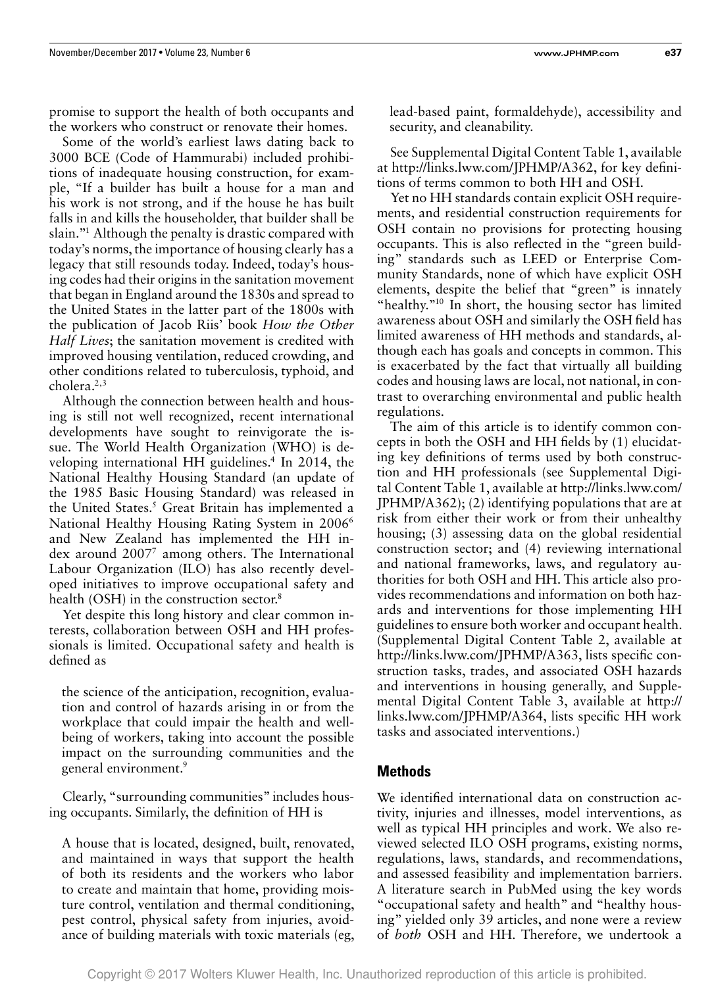Some of the world's earliest laws dating back to 3000 BCE (Code of Hammurabi) included prohibitions of inadequate housing construction, for example, "If a builder has built a house for a man and his work is not strong, and if the house he has built falls in and kills the householder, that builder shall be slain."1 Although the penalty is drastic compared with today's norms, the importance of housing clearly has a legacy that still resounds today. Indeed, today's housing codes had their origins in the sanitation movement that began in England around the 1830s and spread to the United States in the latter part of the 1800s with the publication of Jacob Riis' book *How the Other Half Lives*; the sanitation movement is credited with improved housing ventilation, reduced crowding, and other conditions related to tuberculosis, typhoid, and cholera.2,3

Although the connection between health and housing is still not well recognized, recent international developments have sought to reinvigorate the issue. The World Health Organization (WHO) is developing international HH guidelines.<sup>4</sup> In 2014, the National Healthy Housing Standard (an update of the 1985 Basic Housing Standard) was released in the United States.<sup>5</sup> Great Britain has implemented a National Healthy Housing Rating System in 2006<sup>6</sup> and New Zealand has implemented the HH index around  $2007<sup>7</sup>$  among others. The International Labour Organization (ILO) has also recently developed initiatives to improve occupational safety and health (OSH) in the construction sector.<sup>8</sup>

Yet despite this long history and clear common interests, collaboration between OSH and HH professionals is limited. Occupational safety and health is defined as

the science of the anticipation, recognition, evaluation and control of hazards arising in or from the workplace that could impair the health and wellbeing of workers, taking into account the possible impact on the surrounding communities and the general environment.<sup>9</sup>

Clearly, "surrounding communities" includes housing occupants. Similarly, the definition of HH is

A house that is located, designed, built, renovated, and maintained in ways that support the health of both its residents and the workers who labor to create and maintain that home, providing moisture control, ventilation and thermal conditioning, pest control, physical safety from injuries, avoidance of building materials with toxic materials (eg,

See Supplemental Digital Content Table 1, available at [http://links.lww.com/JPHMP/A362,](http://links.lww.com/JPHMP/A362) for key definitions of terms common to both HH and OSH.

Yet no HH standards contain explicit OSH requirements, and residential construction requirements for OSH contain no provisions for protecting housing occupants. This is also reflected in the "green building" standards such as LEED or Enterprise Community Standards, none of which have explicit OSH elements, despite the belief that "green" is innately "healthy."10 In short, the housing sector has limited awareness about OSH and similarly the OSH field has limited awareness of HH methods and standards, although each has goals and concepts in common. This is exacerbated by the fact that virtually all building codes and housing laws are local, not national, in contrast to overarching environmental and public health regulations.

The aim of this article is to identify common concepts in both the OSH and HH fields by (1) elucidating key definitions of terms used by both construction and HH professionals (see Supplemental Digital Content Table 1, available at http://links.lww.com/ [JPHMP/A362\); \(2\) identifying populations that are at](http://links.lww.com/JPHMP/A362) risk from either their work or from their unhealthy housing; (3) assessing data on the global residential construction sector; and (4) reviewing international and national frameworks, laws, and regulatory authorities for both OSH and HH. This article also provides recommendations and information on both hazards and interventions for those implementing HH guidelines to ensure both worker and occupant health. (Supplemental Digital Content Table 2, available at [http://links.lww.com/JPHMP/A363,](http://links.lww.com/JPHMP/A363) lists specific construction tasks, trades, and associated OSH hazards and interventions in housing generally, and Supplemental Digital Content Table 3, available at http:// [links.lww.com/JPHMP/A364, lists specific HH work](http://links.lww.com/JPHMP/A364) tasks and associated interventions.)

# **Methods**

We identified international data on construction activity, injuries and illnesses, model interventions, as well as typical HH principles and work. We also reviewed selected ILO OSH programs, existing norms, regulations, laws, standards, and recommendations, and assessed feasibility and implementation barriers. A literature search in PubMed using the key words "occupational safety and health" and "healthy housing" yielded only 39 articles, and none were a review of *both* OSH and HH. Therefore, we undertook a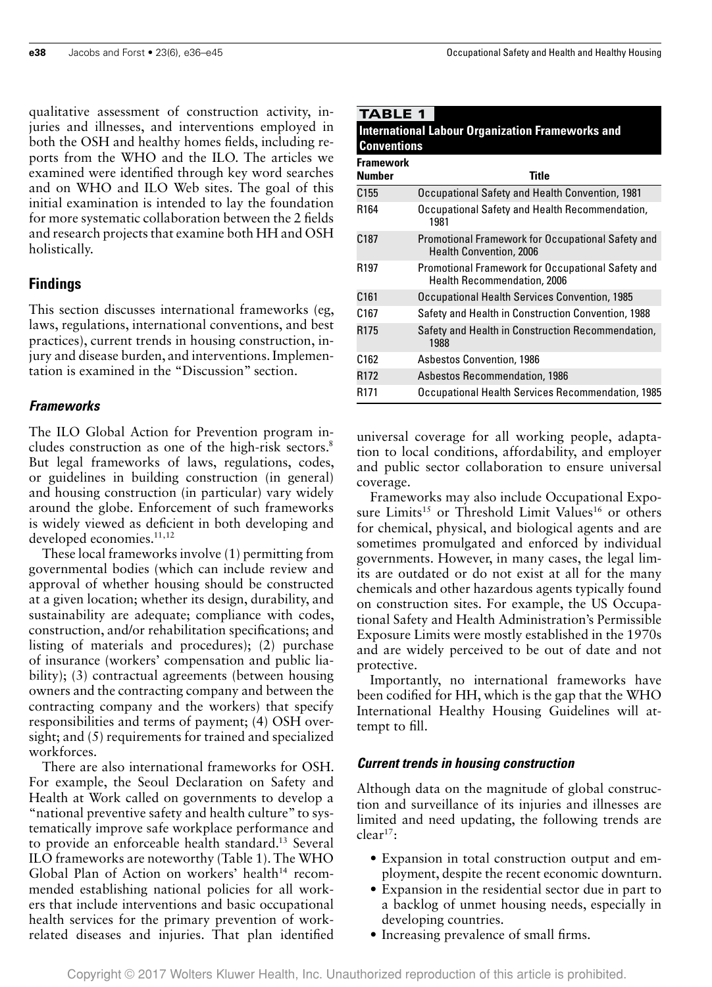qualitative assessment of construction activity, injuries and illnesses, and interventions employed in both the OSH and healthy homes fields, including reports from the WHO and the ILO. The articles we examined were identified through key word searches and on WHO and ILO Web sites. The goal of this initial examination is intended to lay the foundation for more systematic collaboration between the 2 fields and research projects that examine both HH and OSH holistically.

# **Findings**

This section discusses international frameworks (eg, laws, regulations, international conventions, and best practices), current trends in housing construction, injury and disease burden, and interventions. Implementation is examined in the "Discussion" section.

#### *Frameworks*

The ILO Global Action for Prevention program includes construction as one of the high-risk sectors.<sup>8</sup> But legal frameworks of laws, regulations, codes, or guidelines in building construction (in general) and housing construction (in particular) vary widely around the globe. Enforcement of such frameworks is widely viewed as deficient in both developing and developed economies.<sup>11,12</sup>

These local frameworks involve (1) permitting from governmental bodies (which can include review and approval of whether housing should be constructed at a given location; whether its design, durability, and sustainability are adequate; compliance with codes, construction, and/or rehabilitation specifications; and listing of materials and procedures); (2) purchase of insurance (workers' compensation and public liability); (3) contractual agreements (between housing owners and the contracting company and between the contracting company and the workers) that specify responsibilities and terms of payment; (4) OSH oversight; and (5) requirements for trained and specialized workforces.

There are also international frameworks for OSH. For example, the Seoul Declaration on Safety and Health at Work called on governments to develop a "national preventive safety and health culture" to systematically improve safe workplace performance and to provide an enforceable health standard.<sup>13</sup> Several ILO frameworks are noteworthy (Table 1). The WHO Global Plan of Action on workers' health $14$  recommended establishing national policies for all workers that include interventions and basic occupational health services for the primary prevention of workrelated diseases and injuries. That plan identified

| <b>TABLE 1</b>                                                                |                                                                                         |  |  |  |  |
|-------------------------------------------------------------------------------|-----------------------------------------------------------------------------------------|--|--|--|--|
| <b>International Labour Organization Frameworks and</b><br><b>Conventions</b> |                                                                                         |  |  |  |  |
| <b>Framework</b><br>Number                                                    | <b>Title</b>                                                                            |  |  |  |  |
| C <sub>155</sub>                                                              | Occupational Safety and Health Convention, 1981                                         |  |  |  |  |
| R <sub>164</sub>                                                              | Occupational Safety and Health Recommendation,<br>1981                                  |  |  |  |  |
| C <sub>187</sub>                                                              | Promotional Framework for Occupational Safety and<br><b>Health Convention, 2006</b>     |  |  |  |  |
| R <sub>197</sub>                                                              | Promotional Framework for Occupational Safety and<br><b>Health Recommendation, 2006</b> |  |  |  |  |
| C <sub>161</sub>                                                              | <b>Occupational Health Services Convention, 1985</b>                                    |  |  |  |  |
| C167                                                                          | Safety and Health in Construction Convention, 1988                                      |  |  |  |  |
| R175                                                                          | Safety and Health in Construction Recommendation,<br>1988                               |  |  |  |  |
| C <sub>162</sub>                                                              | Asbestos Convention, 1986                                                               |  |  |  |  |
| R172                                                                          | Asbestos Recommendation, 1986                                                           |  |  |  |  |
| R171                                                                          | Occupational Health Services Recommendation, 1985                                       |  |  |  |  |

universal coverage for all working people, adaptation to local conditions, affordability, and employer and public sector collaboration to ensure universal coverage.

Frameworks may also include Occupational Exposure Limits<sup>15</sup> or Threshold Limit Values<sup>16</sup> or others for chemical, physical, and biological agents and are sometimes promulgated and enforced by individual governments. However, in many cases, the legal limits are outdated or do not exist at all for the many chemicals and other hazardous agents typically found on construction sites. For example, the US Occupational Safety and Health Administration's Permissible Exposure Limits were mostly established in the 1970s and are widely perceived to be out of date and not protective.

Importantly, no international frameworks have been codified for HH, which is the gap that the WHO International Healthy Housing Guidelines will attempt to fill.

#### *Current trends in housing construction*

Although data on the magnitude of global construction and surveillance of its injuries and illnesses are limited and need updating, the following trends are  $clear<sup>17</sup>$ :

- Expansion in total construction output and employment, despite the recent economic downturn.
- Expansion in the residential sector due in part to a backlog of unmet housing needs, especially in developing countries.
- Increasing prevalence of small firms.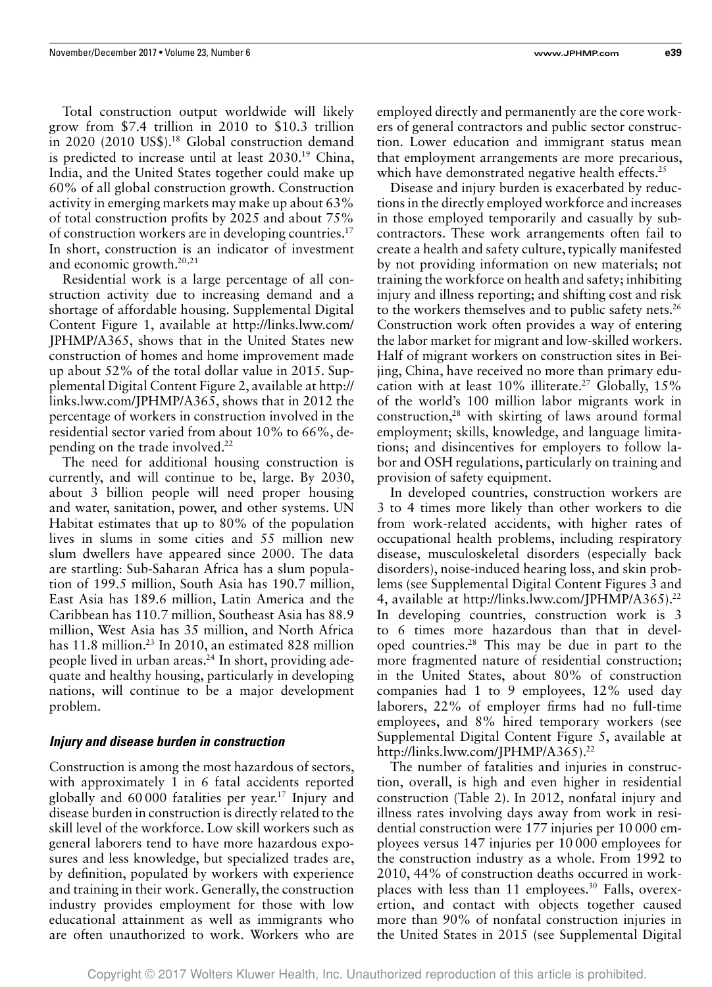Total construction output worldwide will likely grow from \$7.4 trillion in 2010 to \$10.3 trillion in 2020 (2010 US\$).<sup>18</sup> Global construction demand is predicted to increase until at least  $2030<sup>19</sup>$  China, India, and the United States together could make up 60% of all global construction growth. Construction activity in emerging markets may make up about 63% of total construction profits by 2025 and about 75% of construction workers are in developing countries.17 In short, construction is an indicator of investment and economic growth.20,21

Residential work is a large percentage of all construction activity due to increasing demand and a shortage of affordable housing. Supplemental Digital Content Figure 1, available at http://links.lww.com/ [JPHMP/A365, shows that in the United States new](http://links.lww.com/JPHMP/A365) construction of homes and home improvement made up about 52% of the total dollar value in 2015. Supplemental Digital Content Figure 2, available at http:// [links.lww.com/JPHMP/A365, shows that in 2012 the](http://links.lww.com/JPHMP/A365) percentage of workers in construction involved in the residential sector varied from about 10% to 66%, depending on the trade involved.<sup>22</sup>

The need for additional housing construction is currently, and will continue to be, large. By 2030, about 3 billion people will need proper housing and water, sanitation, power, and other systems. UN Habitat estimates that up to 80% of the population lives in slums in some cities and 55 million new slum dwellers have appeared since 2000. The data are startling: Sub-Saharan Africa has a slum population of 199.5 million, South Asia has 190.7 million, East Asia has 189.6 million, Latin America and the Caribbean has 110.7 million, Southeast Asia has 88.9 million, West Asia has 35 million, and North Africa has 11.8 million.<sup>23</sup> In 2010, an estimated 828 million people lived in urban areas.<sup>24</sup> In short, providing adequate and healthy housing, particularly in developing nations, will continue to be a major development problem.

#### *Injury and disease burden in construction*

Construction is among the most hazardous of sectors, with approximately 1 in 6 fatal accidents reported globally and  $60000$  fatalities per year.<sup>17</sup> Injury and disease burden in construction is directly related to the skill level of the workforce. Low skill workers such as general laborers tend to have more hazardous exposures and less knowledge, but specialized trades are, by definition, populated by workers with experience and training in their work. Generally, the construction industry provides employment for those with low educational attainment as well as immigrants who are often unauthorized to work. Workers who are

employed directly and permanently are the core workers of general contractors and public sector construction. Lower education and immigrant status mean that employment arrangements are more precarious, which have demonstrated negative health effects.<sup>25</sup>

Disease and injury burden is exacerbated by reductions in the directly employed workforce and increases in those employed temporarily and casually by subcontractors. These work arrangements often fail to create a health and safety culture, typically manifested by not providing information on new materials; not training the workforce on health and safety; inhibiting injury and illness reporting; and shifting cost and risk to the workers themselves and to public safety nets.<sup>26</sup> Construction work often provides a way of entering the labor market for migrant and low-skilled workers. Half of migrant workers on construction sites in Beijing, China, have received no more than primary education with at least  $10\%$  illiterate.<sup>27</sup> Globally,  $15\%$ of the world's 100 million labor migrants work in construction, $28$  with skirting of laws around formal employment; skills, knowledge, and language limitations; and disincentives for employers to follow labor and OSH regulations, particularly on training and provision of safety equipment.

In developed countries, construction workers are 3 to 4 times more likely than other workers to die from work-related accidents, with higher rates of occupational health problems, including respiratory disease, musculoskeletal disorders (especially back disorders), noise-induced hearing loss, and skin problems (see Supplemental Digital Content Figures 3 and 4, available at [http://links.lww.com/JPHMP/A365\)](http://links.lww.com/JPHMP/A365).<sup>22</sup> In developing countries, construction work is 3 to 6 times more hazardous than that in developed countries.28 This may be due in part to the more fragmented nature of residential construction; in the United States, about 80% of construction companies had 1 to 9 employees, 12% used day laborers, 22% of employer firms had no full-time employees, and 8% hired temporary workers (see Supplemental Digital Content Figure 5, available at [http://links.lww.com/JPHMP/A365\)](http://links.lww.com/JPHMP/A365).<sup>22</sup>

The number of fatalities and injuries in construction, overall, is high and even higher in residential construction (Table 2). In 2012, nonfatal injury and illness rates involving days away from work in residential construction were 177 injuries per 10 000 employees versus 147 injuries per 10 000 employees for the construction industry as a whole. From 1992 to 2010, 44% of construction deaths occurred in workplaces with less than 11 employees.<sup>30</sup> Falls, overexertion, and contact with objects together caused more than 90% of nonfatal construction injuries in the United States in 2015 (see Supplemental Digital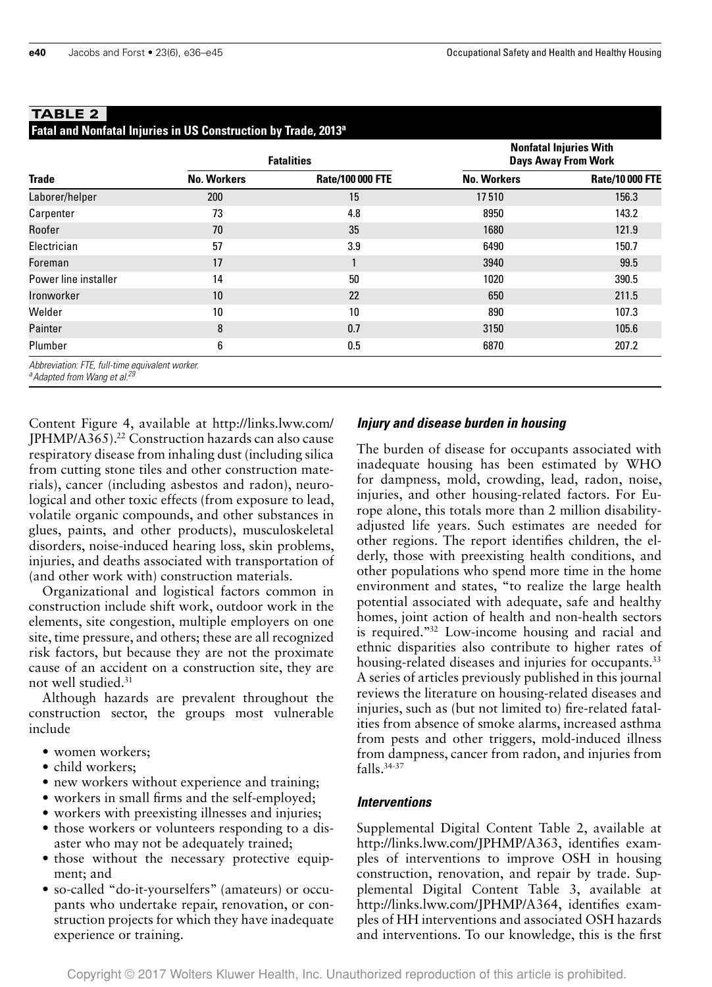#### **TABLE 2 Fatal and Nonfatal Injuries in US Construction by Trade, 2013a**

| <b>Trade</b>                                                                                           | <b>Fatalities</b>  |                         | <b>Nonfatal Injuries With</b><br><b>Days Away From Work</b> |                        |
|--------------------------------------------------------------------------------------------------------|--------------------|-------------------------|-------------------------------------------------------------|------------------------|
|                                                                                                        | <b>No. Workers</b> | <b>Rate/100 000 FTE</b> | <b>No. Workers</b>                                          | <b>Rate/10 000 FTE</b> |
| Laborer/helper                                                                                         | 200                | 15                      | 17510                                                       | 156.3                  |
| Carpenter                                                                                              | 73                 | 4.8                     | 8950                                                        | 143.2                  |
| Roofer                                                                                                 | 70                 | 35                      | 1680                                                        | 121.9                  |
| Electrician                                                                                            | 57                 | 3.9                     | 6490                                                        | 150.7                  |
| Foreman                                                                                                | 17                 | $\mathbf{1}$            | 3940                                                        | 99.5                   |
| Power line installer                                                                                   | 14                 | 50                      | 1020                                                        | 390.5                  |
| Ironworker                                                                                             | 10                 | 22                      | 650                                                         | 211.5                  |
| Welder                                                                                                 | 10                 | 10                      | 890                                                         | 107.3                  |
| Painter                                                                                                | 8                  | 0.7                     | 3150                                                        | 105.6                  |
| Plumber                                                                                                | 6                  | 0.5                     | 6870                                                        | 207.2                  |
| Abbreviation: FTE, full-time equivalent worker.<br><sup>a</sup> Adapted from Wang et al. <sup>29</sup> |                    |                         |                                                             |                        |

Content Figure 4, available at http://links.lww.com/ JPHMP/A365).22 [Construction hazards can also cause](http://links.lww.com/JPHMP/A365) respiratory disease from inhaling dust (including silica from cutting stone tiles and other construction materials), cancer (including asbestos and radon), neurological and other toxic effects (from exposure to lead, volatile organic compounds, and other substances in glues, paints, and other products), musculoskeletal disorders, noise-induced hearing loss, skin problems, injuries, and deaths associated with transportation of (and other work with) construction materials.

Organizational and logistical factors common in construction include shift work, outdoor work in the elements, site congestion, multiple employers on one site, time pressure, and others; these are all recognized risk factors, but because they are not the proximate cause of an accident on a construction site, they are not well studied.31

Although hazards are prevalent throughout the construction sector, the groups most vulnerable include

- women workers;
- child workers:
- new workers without experience and training;
- workers in small firms and the self-employed;
- workers with preexisting illnesses and injuries;
- those workers or volunteers responding to a disaster who may not be adequately trained;
- those without the necessary protective equipment; and
- so-called "do-it-yourselfers" (amateurs) or occupants who undertake repair, renovation, or construction projects for which they have inadequate experience or training.

#### *Injury and disease burden in housing*

The burden of disease for occupants associated with inadequate housing has been estimated by WHO for dampness, mold, crowding, lead, radon, noise, injuries, and other housing-related factors. For Europe alone, this totals more than 2 million disabilityadjusted life years. Such estimates are needed for other regions. The report identifies children, the elderly, those with preexisting health conditions, and other populations who spend more time in the home environment and states, "to realize the large health potential associated with adequate, safe and healthy homes, joint action of health and non-health sectors is required."32 Low-income housing and racial and ethnic disparities also contribute to higher rates of housing-related diseases and injuries for occupants.<sup>33</sup> A series of articles previously published in this journal reviews the literature on housing-related diseases and injuries, such as (but not limited to) fire-related fatalities from absence of smoke alarms, increased asthma from pests and other triggers, mold-induced illness from dampness, cancer from radon, and injuries from falls.34-37

#### *Interventions*

Supplemental Digital Content Table 2, available at [http://links.lww.com/JPHMP/A363,](http://links.lww.com/JPHMP/A363) identifies examples of interventions to improve OSH in housing construction, renovation, and repair by trade. Supplemental Digital Content Table 3, available at [http://links.lww.com/JPHMP/A364,](http://links.lww.com/JPHMP/A364) identifies examples of HH interventions and associated OSH hazards and interventions. To our knowledge, this is the first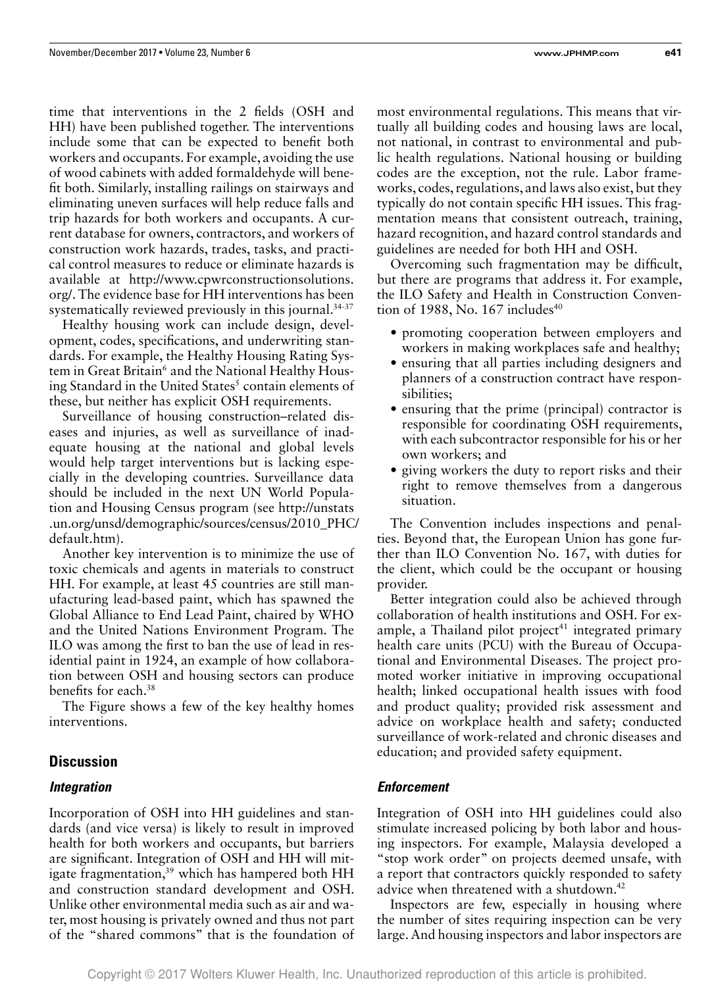time that interventions in the 2 fields (OSH and HH) have been published together. The interventions include some that can be expected to benefit both workers and occupants. For example, avoiding the use of wood cabinets with added formaldehyde will benefit both. Similarly, installing railings on stairways and eliminating uneven surfaces will help reduce falls and trip hazards for both workers and occupants. A current database for owners, contractors, and workers of construction work hazards, trades, tasks, and practical control measures to reduce or eliminate hazards is available at http://www.cpwrconstructionsolutions. [org/. The evidence base for HH interventions has been](http://www.cpwrconstructionsolutions.org/) systematically reviewed previously in this journal.<sup>34-37</sup>

Healthy housing work can include design, development, codes, specifications, and underwriting standards. For example, the Healthy Housing Rating System in Great Britain<sup>6</sup> and the National Healthy Housing Standard in the United States<sup>5</sup> contain elements of these, but neither has explicit OSH requirements.

Surveillance of housing construction–related diseases and injuries, as well as surveillance of inadequate housing at the national and global levels would help target interventions but is lacking especially in the developing countries. Surveillance data should be included in the next UN World Population and Housing Census program (see http://unstats [.un.org/unsd/demographic/sources/census/2010\\_PHC/](http://unstats.un.org/unsd/demographic/sources/census/2010_PHC/default.htm) default.htm).

Another key intervention is to minimize the use of toxic chemicals and agents in materials to construct HH. For example, at least 45 countries are still manufacturing lead-based paint, which has spawned the Global Alliance to End Lead Paint, chaired by WHO and the United Nations Environment Program. The ILO was among the first to ban the use of lead in residential paint in 1924, an example of how collaboration between OSH and housing sectors can produce benefits for each.<sup>38</sup>

The Figure shows a few of the key healthy homes interventions.

## **Discussion**

#### *Integration*

Incorporation of OSH into HH guidelines and standards (and vice versa) is likely to result in improved health for both workers and occupants, but barriers are significant. Integration of OSH and HH will mitigate fragmentation,<sup>39</sup> which has hampered both HH and construction standard development and OSH. Unlike other environmental media such as air and water, most housing is privately owned and thus not part of the "shared commons" that is the foundation of most environmental regulations. This means that virtually all building codes and housing laws are local, not national, in contrast to environmental and public health regulations. National housing or building codes are the exception, not the rule. Labor frameworks, codes, regulations, and laws also exist, but they typically do not contain specific HH issues. This fragmentation means that consistent outreach, training, hazard recognition, and hazard control standards and guidelines are needed for both HH and OSH.

Overcoming such fragmentation may be difficult, but there are programs that address it. For example, the ILO Safety and Health in Construction Convention of 1988, No.  $167$  includes<sup>40</sup>

- promoting cooperation between employers and workers in making workplaces safe and healthy;
- ensuring that all parties including designers and planners of a construction contract have responsibilities;
- ensuring that the prime (principal) contractor is responsible for coordinating OSH requirements, with each subcontractor responsible for his or her own workers; and
- giving workers the duty to report risks and their right to remove themselves from a dangerous situation.

The Convention includes inspections and penalties. Beyond that, the European Union has gone further than ILO Convention No. 167, with duties for the client, which could be the occupant or housing provider.

Better integration could also be achieved through collaboration of health institutions and OSH. For example, a Thailand pilot project<sup>41</sup> integrated primary health care units (PCU) with the Bureau of Occupational and Environmental Diseases. The project promoted worker initiative in improving occupational health; linked occupational health issues with food and product quality; provided risk assessment and advice on workplace health and safety; conducted surveillance of work-related and chronic diseases and education; and provided safety equipment.

#### *Enforcement*

Integration of OSH into HH guidelines could also stimulate increased policing by both labor and housing inspectors. For example, Malaysia developed a "stop work order" on projects deemed unsafe, with a report that contractors quickly responded to safety advice when threatened with a shutdown.<sup>42</sup>

Inspectors are few, especially in housing where the number of sites requiring inspection can be very large. And housing inspectors and labor inspectors are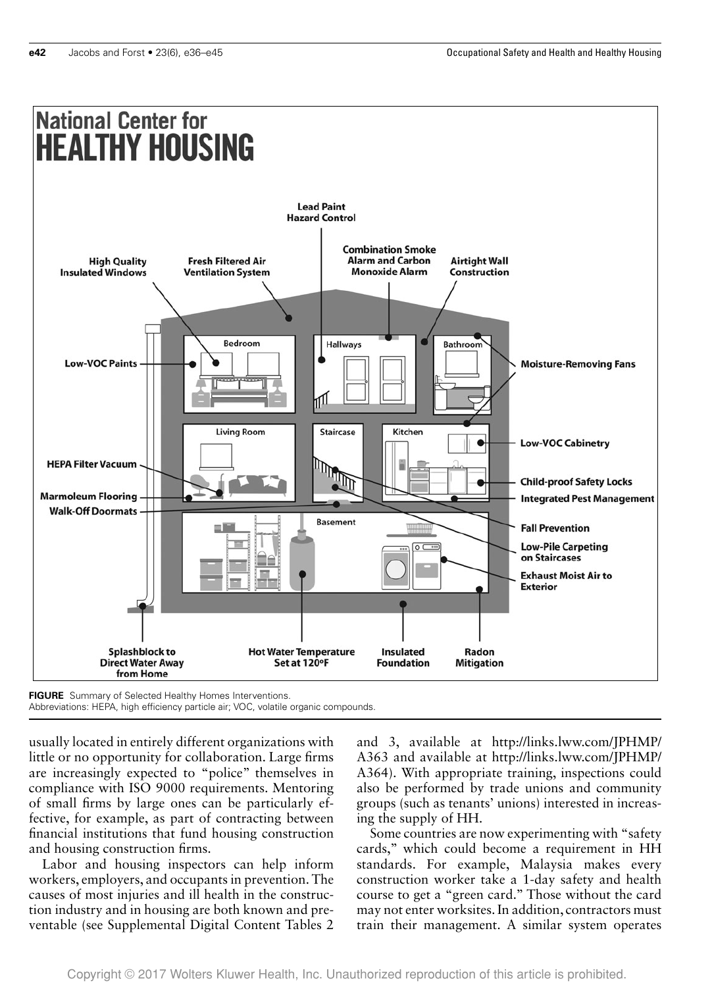

**FIGURE** Summary of Selected Healthy Homes Interventions. Abbreviations: HEPA, high efficiency particle air; VOC, volatile organic compounds.

usually located in entirely different organizations with little or no opportunity for collaboration. Large firms are increasingly expected to "police" themselves in compliance with ISO 9000 requirements. Mentoring of small firms by large ones can be particularly effective, for example, as part of contracting between financial institutions that fund housing construction and housing construction firms.

Labor and housing inspectors can help inform workers, employers, and occupants in prevention. The causes of most injuries and ill health in the construction industry and in housing are both known and preventable (see Supplemental Digital Content Tables 2 and 3, available at [http://links.lww.com/JPHMP/](http://links.lww.com/JPHMP/A363) A363 and available at http://links.lww.com/JPHMP/ [A364\). With appropriate training, inspections could](http://links.lww.com/JPHMP/A364) also be performed by trade unions and community groups (such as tenants' unions) interested in increasing the supply of HH.

Some countries are now experimenting with "safety cards," which could become a requirement in HH standards. For example, Malaysia makes every construction worker take a 1-day safety and health course to get a "green card." Those without the card may not enter worksites. In addition, contractors must train their management. A similar system operates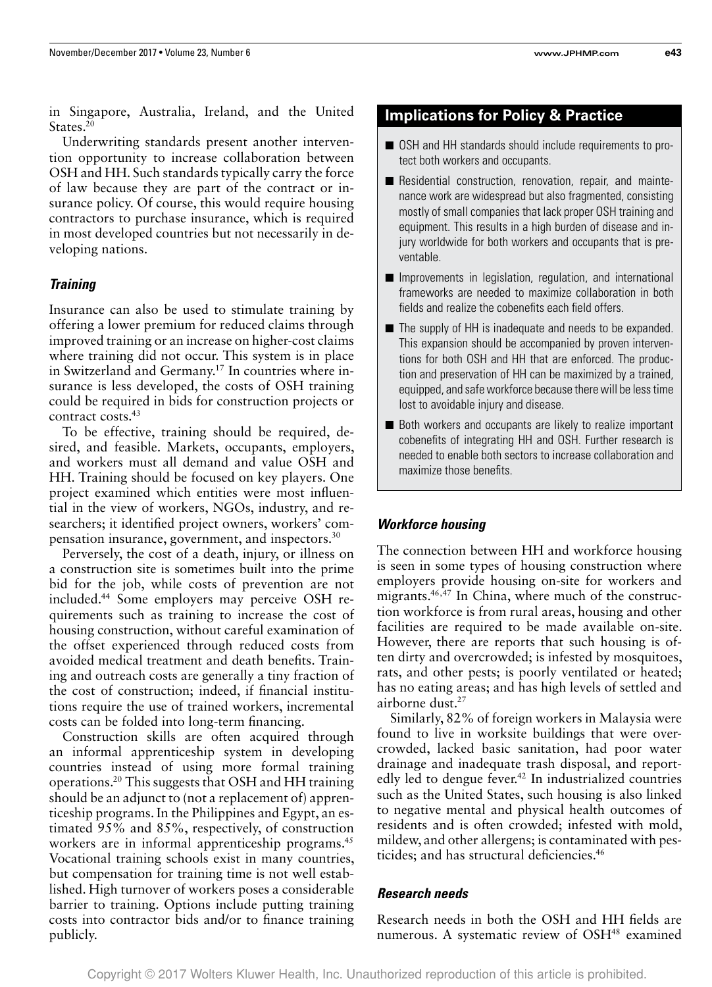in Singapore, Australia, Ireland, and the United States.<sup>20</sup>

Underwriting standards present another intervention opportunity to increase collaboration between OSH and HH. Such standards typically carry the force of law because they are part of the contract or insurance policy. Of course, this would require housing contractors to purchase insurance, which is required in most developed countries but not necessarily in developing nations.

## *Training*

Insurance can also be used to stimulate training by offering a lower premium for reduced claims through improved training or an increase on higher-cost claims where training did not occur. This system is in place in Switzerland and Germany.17 In countries where insurance is less developed, the costs of OSH training could be required in bids for construction projects or contract costs.<sup>43</sup>

To be effective, training should be required, desired, and feasible. Markets, occupants, employers, and workers must all demand and value OSH and HH. Training should be focused on key players. One project examined which entities were most influential in the view of workers, NGOs, industry, and researchers; it identified project owners, workers' compensation insurance, government, and inspectors.<sup>30</sup>

Perversely, the cost of a death, injury, or illness on a construction site is sometimes built into the prime bid for the job, while costs of prevention are not included.44 Some employers may perceive OSH requirements such as training to increase the cost of housing construction, without careful examination of the offset experienced through reduced costs from avoided medical treatment and death benefits. Training and outreach costs are generally a tiny fraction of the cost of construction; indeed, if financial institutions require the use of trained workers, incremental costs can be folded into long-term financing.

Construction skills are often acquired through an informal apprenticeship system in developing countries instead of using more formal training operations.20 This suggests that OSH and HH training should be an adjunct to (not a replacement of) apprenticeship programs. In the Philippines and Egypt, an estimated 95% and 85%, respectively, of construction workers are in informal apprenticeship programs.<sup>45</sup> Vocational training schools exist in many countries, but compensation for training time is not well established. High turnover of workers poses a considerable barrier to training. Options include putting training costs into contractor bids and/or to finance training publicly.

# **Implications for Policy & Practice**

- OSH and HH standards should include requirements to protect both workers and occupants.
- Residential construction, renovation, repair, and maintenance work are widespread but also fragmented, consisting mostly of small companies that lack proper OSH training and equipment. This results in a high burden of disease and injury worldwide for both workers and occupants that is preventable.
- Improvements in legislation, regulation, and international frameworks are needed to maximize collaboration in both fields and realize the cobenefits each field offers.
- The supply of HH is inadequate and needs to be expanded. This expansion should be accompanied by proven interventions for both OSH and HH that are enforced. The production and preservation of HH can be maximized by a trained, equipped, and safe workforce because there will be less time lost to avoidable injury and disease.
- Both workers and occupants are likely to realize important cobenefits of integrating HH and OSH. Further research is needed to enable both sectors to increase collaboration and maximize those benefits.

# *Workforce housing*

The connection between HH and workforce housing is seen in some types of housing construction where employers provide housing on-site for workers and migrants.<sup>46,47</sup> In China, where much of the construction workforce is from rural areas, housing and other facilities are required to be made available on-site. However, there are reports that such housing is often dirty and overcrowded; is infested by mosquitoes, rats, and other pests; is poorly ventilated or heated; has no eating areas; and has high levels of settled and airborne dust.27

Similarly, 82% of foreign workers in Malaysia were found to live in worksite buildings that were overcrowded, lacked basic sanitation, had poor water drainage and inadequate trash disposal, and reportedly led to dengue fever.<sup>42</sup> In industrialized countries such as the United States, such housing is also linked to negative mental and physical health outcomes of residents and is often crowded; infested with mold, mildew, and other allergens; is contaminated with pesticides; and has structural deficiencies.46

## *Research needs*

Research needs in both the OSH and HH fields are numerous. A systematic review of OSH<sup>48</sup> examined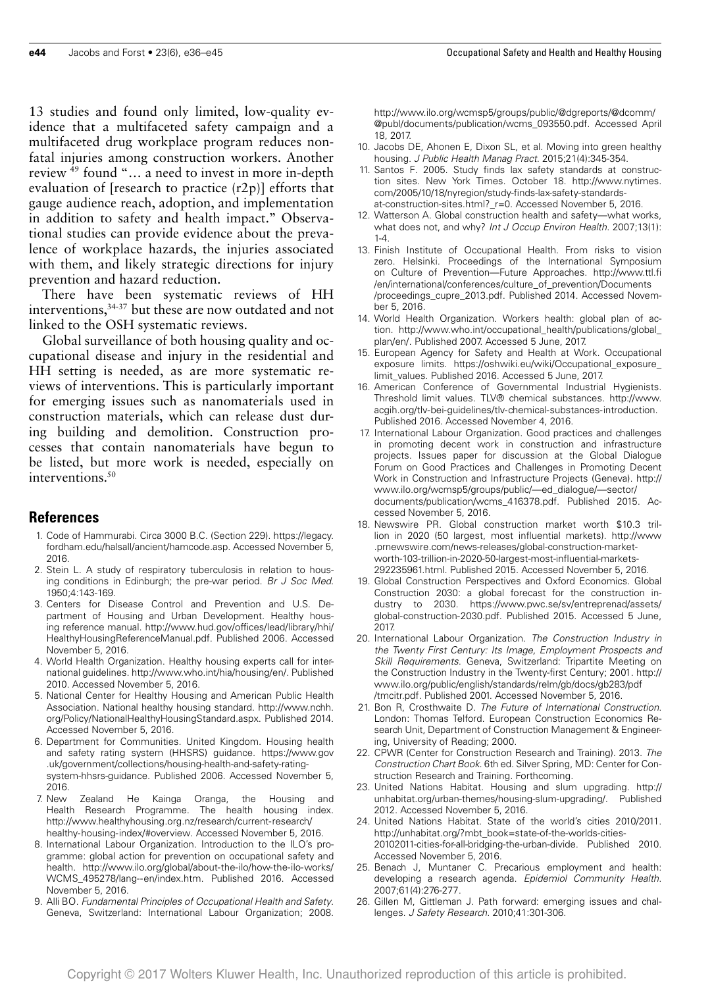13 studies and found only limited, low-quality evidence that a multifaceted safety campaign and a multifaceted drug workplace program reduces nonfatal injuries among construction workers. Another review <sup>49</sup> found "... a need to invest in more in-depth evaluation of [research to practice (r2p)] efforts that gauge audience reach, adoption, and implementation in addition to safety and health impact." Observational studies can provide evidence about the prevalence of workplace hazards, the injuries associated with them, and likely strategic directions for injury prevention and hazard reduction.

There have been systematic reviews of HH interventions,34-37 but these are now outdated and not linked to the OSH systematic reviews.

Global surveillance of both housing quality and occupational disease and injury in the residential and HH setting is needed, as are more systematic reviews of interventions. This is particularly important for emerging issues such as nanomaterials used in construction materials, which can release dust during building and demolition. Construction processes that contain nanomaterials have begun to be listed, but more work is needed, especially on interventions.<sup>50</sup>

#### **References**

- 1. Code of Hammurabi. Circa 3000 B.C. (Section 229). https://legacy. [fordham.edu/halsall/ancient/hamcode.asp. Accessed November 5,](https://legacy.fordham.edu/halsall/ancient/hamcode.asp) 2016.
- 2. Stein L. A study of respiratory tuberculosis in relation to housing conditions in Edinburgh; the pre-war period. Br J Soc Med. 1950;4:143-169.
- 3. Centers for Disease Control and Prevention and U.S. Department of Housing and Urban Development. Healthy housing reference manual. http://www.hud.gov/offices/lead/library/hhi/ [HealthyHousingReferenceManual.pdf. Published 2006. Accessed](http://www.hud.gov/offices/lead/library/hhi/HealthyHousingReferenceManual.pdf) November 5, 2016.
- 4. World Health Organization. Healthy housing experts call for international guidelines. [http://www.who.int/hia/housing/en/.](http://www.who.int/hia/housing/en/) Published 2010. Accessed November 5, 2016.
- 5. National Center for Healthy Housing and American Public Health Association. National healthy housing standard. http://www.nchh. [org/Policy/NationalHealthyHousingStandard.aspx. Published 2014.](http://www.nchh.org/Policy/NationalHealthyHousingStandard.aspx) Accessed November 5, 2016.
- 6. Department for Communities. United Kingdom. Housing health [and safety rating system \(HHSRS\) guidance. https://www.gov](https://www.gov.uk/government/collections/housing-health-and-safety-rating-system-hhsrs-guidance) .uk/government/collections/housing-health-and-safety-ratingsystem-hhsrs-guidance. Published 2006. Accessed November 5, 2016.
- 7. New Zealand He Kainga Oranga, the Housing and Health Research Programme. The health housing index. http://www.healthyhousing.org.nz/research/current-research/ [healthy-housing-index/#overview. Accessed November 5, 201](http://www.healthyhousing.org.nz/research/current-research/healthy-housing-index/#overview)6.
- 8. International Labour Organization. Introduction to the ILO's programme: global action for prevention on occupational safety and health. http://www.ilo.org/global/about-the-ilo/how-the-ilo-works/ [WCMS\\_495278/lang--en/index.htm. Published 2016. Accessed](http://www.ilo.org/global/about-the-ilo/how-the-ilo-works/WCMS_495278/lang--en/index.htm) November 5, 2016.
- 9. Alli BO. Fundamental Principles of Occupational Health and Safety. Geneva, Switzerland: International Labour Organization; 2008.

http://www.ilo.org/wcmsp5/groups/public/@dgreports/@dcomm/ [@publ/documents/publication/wcms\\_093550.pdf. Accessed Apri](http://www.ilo.org/wcmsp5/groups/public/@dgreports/@dcomm/@publ/documents/publication/wcms_093550.pdf)l 18, 2017.

- 10. Jacobs DE, Ahonen E, Dixon SL, et al. Moving into green healthy housing. J Public Health Manag Pract. 2015;21(4):345-354.
- 11. Santos F. 2005. Study finds lax safety standards at construc[tion sites. New York Times. October 18. http://www.nytimes.](http://www.nytimes.com/2005/10/18/nyregion/study-finds-lax-safety-standards-at-construction-sites.html?_r=0) com/2005/10/18/nyregion/study-finds-lax-safety-standardsat-construction-sites.html?\_r=0. Accessed November 5, 2016.
- 12. Watterson A. Global construction health and safety—what works, what does not, and why? Int J Occup Environ Health. 2007;13(1): 1-4.
- 13. Finish Institute of Occupational Health. From risks to vision zero. Helsinki. Proceedings of the International Symposium on Culture of Prevention—Future Approaches. http://www.ttl.fi /en/international/conferences/culture\_of\_prevention/Documents [/proceedings\\_cupre\\_2013.pdf. Published 2014. Accessed Novem](http://www.ttl.fi/en/international/conferences/culture_of_prevention/Documents/proceedings_cupre_2013.pdf)ber 5, 2016.
- 14. World Health Organization. Workers health: global plan of action. [http://www.who.int/occupational\\_health/publications/global\\_](http://www.who.int/occupational_health/publications/global_plan/en/) plan/en/. Published 2007. Accessed 5 June, 2017.
- 15. European Agency for Safety and Health at Work. Occupational exposure limits. https://oshwiki.eu/wiki/Occupational\_exposure\_ [limit\\_values. Published 2016. Accessed 5 June, 2017.](https://oshwiki.eu/wiki/Occupational_exposure_limit_values)
- 16. American Conference of Governmental Industrial Hygienists. Threshold limit values. TLV® chemical substances. http://www. [acgih.org/tlv-bei-guidelines/tlv-chemical-substances-introduction.](http://www.acgih.org/tlv-bei-guidelines/tlv-chemical-substances-introduction) Published 2016. Accessed November 4, 2016.
- 17. International Labour Organization. Good practices and challenges in promoting decent work in construction and infrastructure projects. Issues paper for discussion at the Global Dialogue Forum on Good Practices and Challenges in Promoting Decent Work in Construction and Infrastructure Projects (Geneva). http:// www.ilo.org/wcmsp5/groups/public/—ed\_dialogue/—sector/ [documents/publication/wcms\\_416378.pdf. Published 2015. Ac](http://www.ilo.org/wcmsp5/groups/public/---ed_dialogue/---sector/documents/publication/wcms_416378.pdf)cessed November 5, 2016.
- 18. Newswire PR. Global construction market worth \$10.3 tril[lion in 2020 \(50 largest, most influential markets\). http://www](http://www.prnewswire.com/news-releases/global-construction-market-worth-103-trillion-in-2020-50-largest-most-influential-markets-292235961.html) .prnewswire.com/news-releases/global-construction-marketworth-103-trillion-in-2020-50-largest-most-influential-markets-292235961.html. Published 2015. Accessed November 5, 2016.
- 19. Global Construction Perspectives and Oxford Economics. Global Construction 2030: a global forecast for the construction industry to 2030. https://www.pwc.se/sv/entreprenad/assets/ [global-construction-2030.pdf. Published 2015. Accessed 5 June,](http://www.pwc.se/sv/entreprenad/assets/global-construction-2030.pdf) 2017.
- 20. International Labour Organization. The Construction Industry in the Twenty First Century: Its Image, Employment Prospects and Skill Requirements. Geneva, Switzerland: Tripartite Meeting on [the Construction Industry in the Twenty-first Century; 2001. http://](http://www.ilo.org/public/english/standards/relm/gb/docs/gb283/pdf/tmcitr.pdf) www.ilo.org/public/english/standards/relm/gb/docs/gb283/pdf /tmcitr.pdf. Published 2001. Accessed November 5, 2016.
- 21. Bon R, Crosthwaite D. The Future of International Construction. London: Thomas Telford. European Construction Economics Research Unit, Department of Construction Management & Engineering, University of Reading; 2000.
- 22. CPWR (Center for Construction Research and Training). 2013. The Construction Chart Book. 6th ed. Silver Spring, MD: Center for Construction Research and Training. Forthcoming.
- 23. [United Nations Habitat. Housing and slum upgrading. http://](http://unhabitat.org/urban-themes/housing-slum-upgrading/) unhabitat.org/urban-themes/housing-slum-upgrading/. Published 2012. Accessed November 5, 2016.
- 24. United Nations Habitat. State of the world's cities 2010/2011. http://unhabitat.org/?mbt\_book=state-of-the-worlds-cities-[20102011-cities-for-all-bridging-the-urban-divide. Published](http://unhabitat.org/?mbt_book=state-of-the-worlds-cities-20102011-cities-for-all-bridging-the-urban-divide) 2010. Accessed November 5, 2016.
- 25. Benach J, Muntaner C. Precarious employment and health: developing a research agenda. Epidemiol Community Health. 2007;61(4):276-277.
- 26. Gillen M, Gittleman J. Path forward: emerging issues and challenges. J Safety Research. 2010;41:301-306.